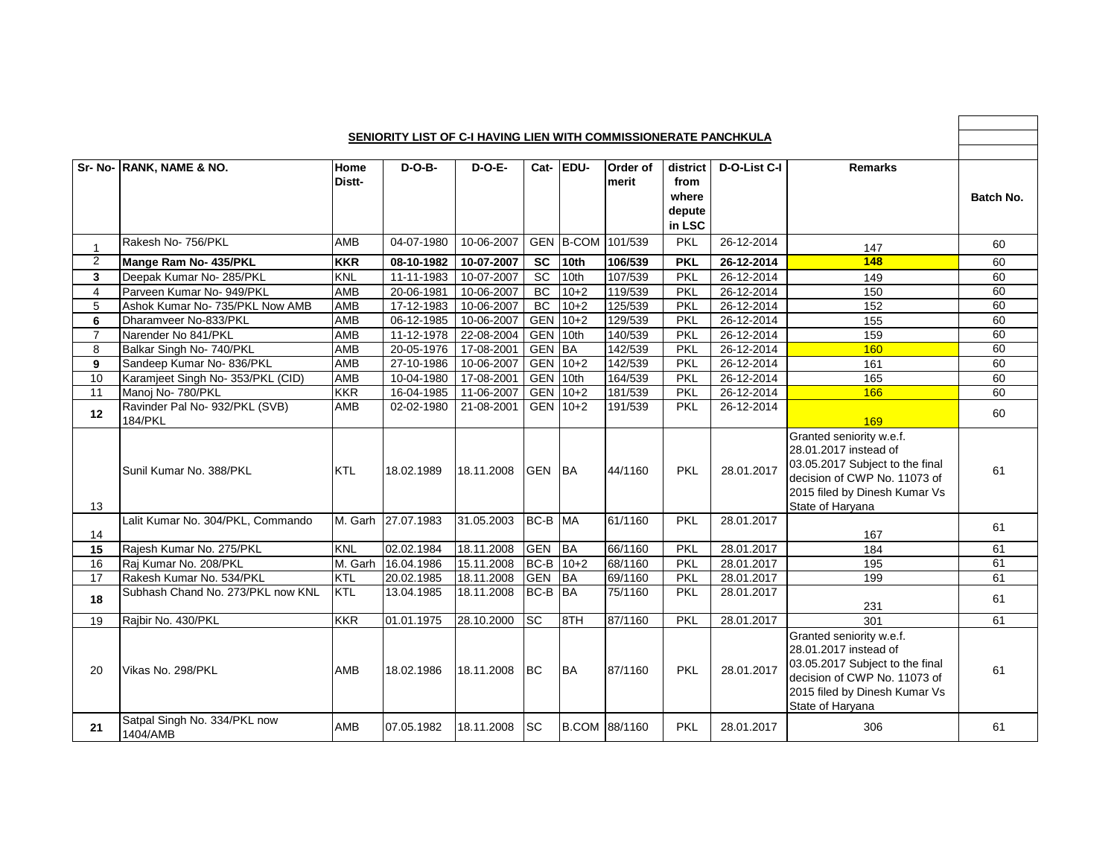|                | <b>SENIORITY LIST OF C-I HAVING LIEN WITH COMMISSIONERATE PANCHKULA</b> |                |                    |               |               |           |                   |                                               |              |                                                                                                                                                                           |           |
|----------------|-------------------------------------------------------------------------|----------------|--------------------|---------------|---------------|-----------|-------------------|-----------------------------------------------|--------------|---------------------------------------------------------------------------------------------------------------------------------------------------------------------------|-----------|
|                |                                                                         |                |                    |               |               |           |                   |                                               |              |                                                                                                                                                                           |           |
|                | Sr- No- RANK, NAME & NO.                                                | Home<br>Distt- | $D-O-B-$           | <b>D-O-E-</b> |               | Cat- EDU- | Order of<br>merit | district<br>from<br>where<br>depute<br>in LSC | D-O-List C-I | <b>Remarks</b>                                                                                                                                                            | Batch No. |
| -1             | Rakesh No- 756/PKL                                                      | AMB            | 04-07-1980         | 10-06-2007    |               |           | GEN B-COM 101/539 | <b>PKL</b>                                    | 26-12-2014   | 147                                                                                                                                                                       | 60        |
| $\overline{2}$ | Mange Ram No- 435/PKL                                                   | <b>KKR</b>     | 08-10-1982         | 10-07-2007    | <b>SC</b>     | 10th      | 106/539           | <b>PKL</b>                                    | 26-12-2014   | 148                                                                                                                                                                       | 60        |
| 3              | Deepak Kumar No- 285/PKL                                                | <b>KNL</b>     | 11-11-1983         | 10-07-2007    | SC            | 10th      | 107/539           | <b>PKL</b>                                    | 26-12-2014   | 149                                                                                                                                                                       | 60        |
| $\overline{4}$ | Parveen Kumar No- 949/PKL                                               | <b>AMB</b>     | $20 - 06 - 1981$   | 10-06-2007    | <b>BC</b>     | $10+2$    | 119/539           | <b>PKL</b>                                    | 26-12-2014   | 150                                                                                                                                                                       | 60        |
| 5              | Ashok Kumar No- 735/PKL Now AMB                                         | AMB            | 17-12-1983         | 10-06-2007    | <b>BC</b>     | $10+2$    | 125/539           | <b>PKL</b>                                    | 26-12-2014   | 152                                                                                                                                                                       | 60        |
| 6              | Dharamveer No-833/PKL                                                   | <b>AMB</b>     | 06-12-1985         | 10-06-2007    | <b>GEN</b>    | $10+2$    | 129/539           | <b>PKL</b>                                    | 26-12-2014   | 155                                                                                                                                                                       | 60        |
| $\overline{7}$ | Narender No 841/PKL                                                     | <b>AMB</b>     | 11-12-1978         | 22-08-2004    | <b>GEN</b>    | 10th      | 140/539           | PKL                                           | 26-12-2014   | 159                                                                                                                                                                       | 60        |
| 8              | Balkar Singh No- 740/PKL                                                | AMB            | 20-05-1976         | 17-08-2001    | <b>GEN</b>    | <b>BA</b> | 142/539           | PKL                                           | 26-12-2014   | 160                                                                                                                                                                       | 60        |
| 9              | Sandeep Kumar No- 836/PKL                                               | AMB            | 27-10-1986         | 10-06-2007    | GEN           | $10+2$    | 142/539           | <b>PKL</b>                                    | 26-12-2014   | 161                                                                                                                                                                       | 60        |
| 10             | Karamjeet Singh No- 353/PKL (CID)                                       | AMB            | $10-04-1980$       | 17-08-2001    | <b>GEN</b>    | 10th      | 164/539           | <b>PKL</b>                                    | 26-12-2014   | 165                                                                                                                                                                       | 60        |
| 11             | Manoj No- 780/PKL                                                       | <b>KKR</b>     | 16-04-1985         | 11-06-2007    | <b>GEN</b>    | $10+2$    | 181/539           | PKL                                           | 26-12-2014   | 166                                                                                                                                                                       | 60        |
| 12             | Ravinder Pal No- 932/PKL (SVB)<br>184/PKL                               | AMB            | 02-02-1980         | 21-08-2001    |               | GEN 10+2  | 191/539           | <b>PKL</b>                                    | 26-12-2014   | 169                                                                                                                                                                       | 60        |
| 13             | Sunil Kumar No. 388/PKL                                                 | <b>KTL</b>     | 18.02.1989         | 18.11.2008    | <b>GEN BA</b> |           | 44/1160           | PKL                                           | 28.01.2017   | Granted seniority w.e.f.<br>28.01.2017 instead of<br>03.05.2017 Subject to the final<br>decision of CWP No. 11073 of<br>2015 filed by Dinesh Kumar Vs<br>State of Haryana | 61        |
| 14             | Lalit Kumar No. 304/PKL, Commando                                       |                | M. Garh 27.07.1983 | 31.05.2003    | BC-B          | <b>MA</b> | 61/1160           | <b>PKL</b>                                    | 28.01.2017   | 167                                                                                                                                                                       | 61        |
| 15             | Rajesh Kumar No. 275/PKL                                                | <b>KNL</b>     | 02.02.1984         | 18.11.2008    | <b>GEN</b>    | <b>BA</b> | 66/1160           | <b>PKL</b>                                    | 28.01.2017   | 184                                                                                                                                                                       | 61        |
| 16             | Raj Kumar No. 208/PKL                                                   |                | M. Garh 16.04.1986 | 15.11.2008    | $BC-B$        | $10+2$    | 68/1160           | <b>PKL</b>                                    | 28.01.2017   | 195                                                                                                                                                                       | 61        |
| 17             | Rakesh Kumar No. 534/PKL                                                | <b>KTL</b>     | 20.02.1985         | 18.11.2008    | <b>GEN</b>    | <b>BA</b> | 69/1160           | <b>PKL</b>                                    | 28.01.2017   | 199                                                                                                                                                                       | 61        |
| 18             | Subhash Chand No. 273/PKL now KNL                                       | KTL            | 13.04.1985         | 18.11.2008    | BC-B          | <b>BA</b> | 75/1160           | <b>PKL</b>                                    | 28.01.2017   | 231                                                                                                                                                                       | 61        |
| 19             | Rajbir No. 430/PKL                                                      | <b>KKR</b>     | 01.01.1975         | 28.10.2000    | SC            | 8TH       | 87/1160           | PKL                                           | 28.01.2017   | $\overline{301}$                                                                                                                                                          | 61        |
| 20             | Vikas No. 298/PKL                                                       | AMB            | 18.02.1986         | 18.11.2008    | <b>BC</b>     | <b>BA</b> | 87/1160           | PKL                                           | 28.01.2017   | Granted seniority w.e.f.<br>28.01.2017 instead of<br>03.05.2017 Subject to the final<br>decision of CWP No. 11073 of<br>2015 filed by Dinesh Kumar Vs<br>State of Haryana | 61        |
| 21             | Satpal Singh No. 334/PKL now<br>1404/AMB                                | AMB            | 07.05.1982         | 18.11.2008    | <b>SC</b>     |           | B.COM 88/1160     | <b>PKL</b>                                    | 28.01.2017   | 306                                                                                                                                                                       | 61        |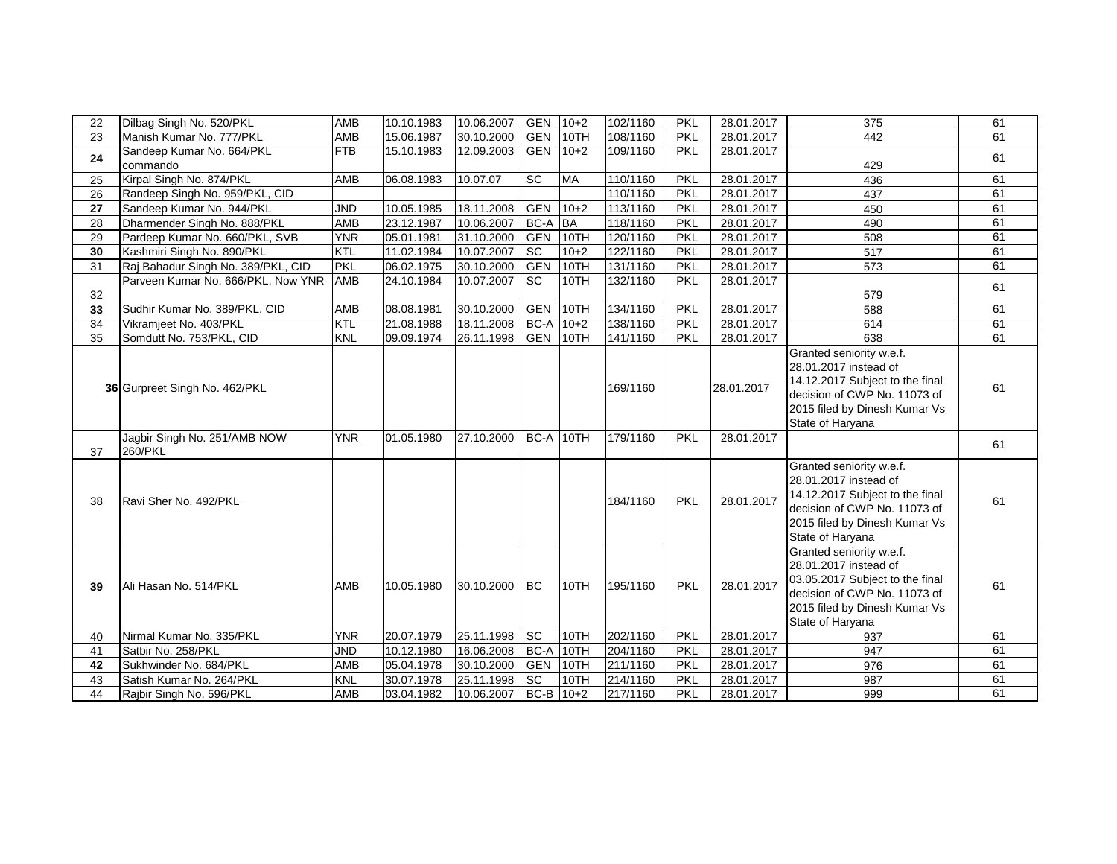| 22 | Dilbag Singh No. 520/PKL                | AMB        | 10.10.1983 | 10.06.2007 | <b>GEN</b>  | $10+2$    | 102/1160 | PKL        | 28.01.2017 | 375                                                                                                                                                                       | 61 |
|----|-----------------------------------------|------------|------------|------------|-------------|-----------|----------|------------|------------|---------------------------------------------------------------------------------------------------------------------------------------------------------------------------|----|
| 23 | Manish Kumar No. 777/PKL                | AMB        | 15.06.1987 | 30.10.2000 | <b>GEN</b>  | 10TH      | 108/1160 | <b>PKL</b> | 28.01.2017 | 442                                                                                                                                                                       | 61 |
| 24 | Sandeep Kumar No. 664/PKL<br>commando   | <b>FTB</b> | 15.10.1983 | 12.09.2003 | <b>GEN</b>  | $10+2$    | 109/1160 | PKL        | 28.01.2017 | 429                                                                                                                                                                       | 61 |
| 25 | Kirpal Singh No. 874/PKL                | AMB        | 06.08.1983 | 10.07.07   | SC          | <b>MA</b> | 110/1160 | PKL        | 28.01.2017 | 436                                                                                                                                                                       | 61 |
| 26 | Randeep Singh No. 959/PKL, CID          |            |            |            |             |           | 110/1160 | <b>PKL</b> | 28.01.2017 | 437                                                                                                                                                                       | 61 |
| 27 | Sandeep Kumar No. 944/PKL               | <b>JND</b> | 10.05.1985 | 18.11.2008 | <b>GEN</b>  | $10+2$    | 113/1160 | <b>PKL</b> | 28.01.2017 | 450                                                                                                                                                                       | 61 |
| 28 | Dharmender Singh No. 888/PKL            | AMB        | 23.12.1987 | 10.06.2007 | <b>BC-A</b> | <b>BA</b> | 118/1160 | PKL        | 28.01.2017 | 490                                                                                                                                                                       | 61 |
| 29 | Pardeep Kumar No. 660/PKL, SVB          | <b>YNR</b> | 05.01.1981 | 31.10.2000 | <b>GEN</b>  | 10TH      | 120/1160 | PKL        | 28.01.2017 | 508                                                                                                                                                                       | 61 |
| 30 | Kashmiri Singh No. 890/PKL              | KTL        | 11.02.1984 | 10.07.2007 | <b>SC</b>   | $10+2$    | 122/1160 | PKL        | 28.01.2017 | 517                                                                                                                                                                       | 61 |
| 31 | Raj Bahadur Singh No. 389/PKL, CID      | <b>PKL</b> | 06.02.1975 | 30.10.2000 | GEN         | 10TH      | 131/1160 | <b>PKL</b> | 28.01.2017 | 573                                                                                                                                                                       | 61 |
| 32 | Parveen Kumar No. 666/PKL, Now YNR      | AMB        | 24.10.1984 | 10.07.2007 | <b>SC</b>   | 10TH      | 132/1160 | <b>PKL</b> | 28.01.2017 | 579                                                                                                                                                                       | 61 |
| 33 | Sudhir Kumar No. 389/PKL, CID           | AMB        | 08.08.1981 | 30.10.2000 | <b>GEN</b>  | 10TH      | 134/1160 | PKL        | 28.01.2017 | 588                                                                                                                                                                       | 61 |
| 34 | Vikramjeet No. 403/PKL                  | KTL        | 21.08.1988 | 18.11.2008 | BC-A        | $10+2$    | 138/1160 | PKL        | 28.01.2017 | 614                                                                                                                                                                       | 61 |
| 35 | Somdutt No. 753/PKL, CID                | <b>KNL</b> | 09.09.1974 | 26.11.1998 | <b>GEN</b>  | 10TH      | 141/1160 | <b>PKL</b> | 28.01.2017 | 638                                                                                                                                                                       | 61 |
|    | 36 Gurpreet Singh No. 462/PKL           |            |            |            |             |           | 169/1160 |            | 28.01.2017 | Granted seniority w.e.f.<br>28.01.2017 instead of<br>14.12.2017 Subject to the final<br>decision of CWP No. 11073 of<br>2015 filed by Dinesh Kumar Vs<br>State of Haryana | 61 |
| 37 | Jagbir Singh No. 251/AMB NOW<br>260/PKL | <b>YNR</b> | 01.05.1980 | 27.10.2000 | BC-A 10TH   |           | 179/1160 | PKL        | 28.01.2017 |                                                                                                                                                                           | 61 |
| 38 | Ravi Sher No. 492/PKL                   |            |            |            |             |           | 184/1160 | <b>PKL</b> | 28.01.2017 | Granted seniority w.e.f.<br>28.01.2017 instead of<br>14.12.2017 Subject to the final<br>decision of CWP No. 11073 of<br>2015 filed by Dinesh Kumar Vs<br>State of Haryana | 61 |
| 39 | Ali Hasan No. 514/PKL                   | AMB        | 10.05.1980 | 30.10.2000 | <b>BC</b>   | 10TH      | 195/1160 | PKL        | 28.01.2017 | Granted seniority w.e.f.<br>28.01.2017 instead of<br>03.05.2017 Subject to the final<br>decision of CWP No. 11073 of<br>2015 filed by Dinesh Kumar Vs<br>State of Haryana | 61 |
| 40 | Nirmal Kumar No. 335/PKL                | <b>YNR</b> | 20.07.1979 | 25.11.1998 | <b>SC</b>   | 10TH      | 202/1160 | <b>PKL</b> | 28.01.2017 | 937                                                                                                                                                                       | 61 |
| 41 | Satbir No. 258/PKL                      | <b>JND</b> | 10.12.1980 | 16.06.2008 | BC-A        | 10TH      | 204/1160 | PKL        | 28.01.2017 | 947                                                                                                                                                                       | 61 |
| 42 | Sukhwinder No. 684/PKL                  | AMB        | 05.04.1978 | 30.10.2000 | <b>GEN</b>  | 10TH      | 211/1160 | <b>PKL</b> | 28.01.2017 | 976                                                                                                                                                                       | 61 |
| 43 | Satish Kumar No. 264/PKL                | <b>KNL</b> | 30.07.1978 | 25.11.1998 | <b>SC</b>   | 10TH      | 214/1160 | <b>PKL</b> | 28.01.2017 | 987                                                                                                                                                                       | 61 |
| 44 | Rajbir Singh No. 596/PKL                | AMB        | 03.04.1982 | 10.06.2007 | BC-B        | $10+2$    | 217/1160 | PKL        | 28.01.2017 | 999                                                                                                                                                                       | 61 |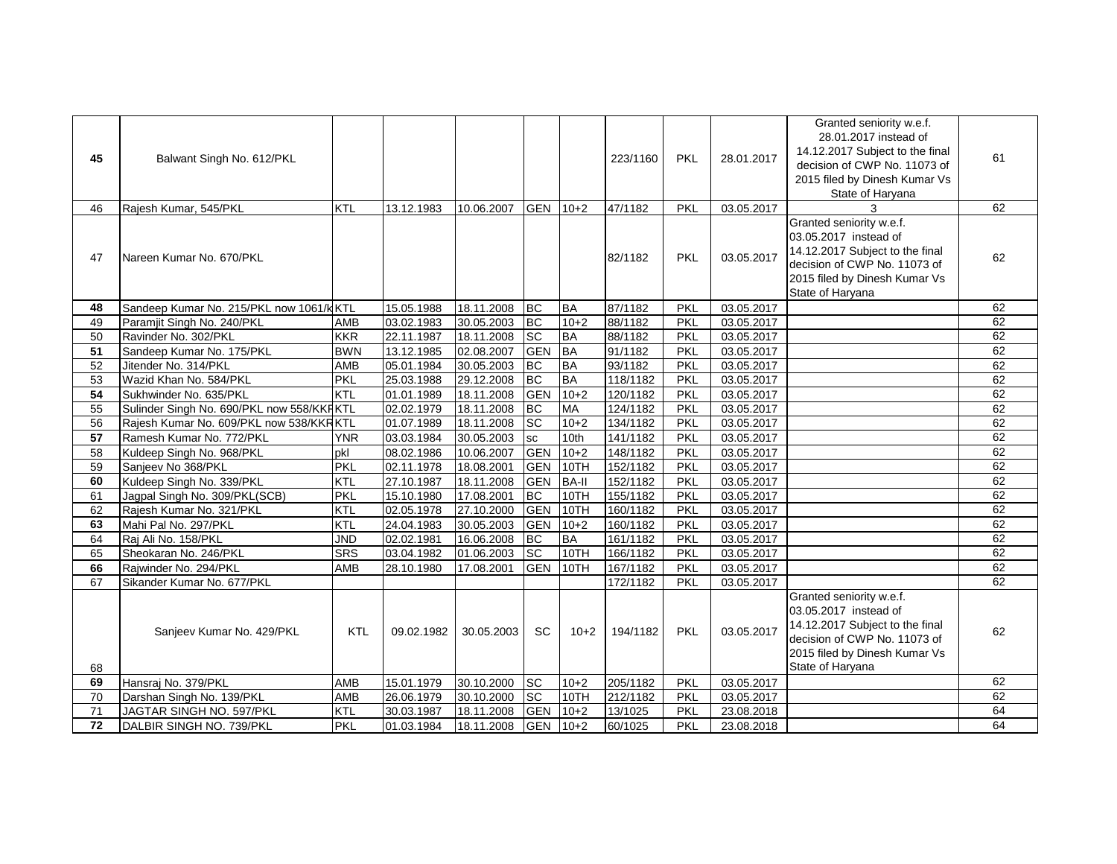| 45       | Balwant Singh No. 612/PKL                                           |                          |                          |                          |                 |                        | 223/1160             | <b>PKL</b>               | 28.01.2017               | Granted seniority w.e.f.<br>28.01.2017 instead of<br>14.12.2017 Subject to the final<br>decision of CWP No. 11073 of<br>2015 filed by Dinesh Kumar Vs<br>State of Haryana | 61       |
|----------|---------------------------------------------------------------------|--------------------------|--------------------------|--------------------------|-----------------|------------------------|----------------------|--------------------------|--------------------------|---------------------------------------------------------------------------------------------------------------------------------------------------------------------------|----------|
| 46       | Rajesh Kumar, 545/PKL                                               | <b>KTL</b>               | 13.12.1983               | 10.06.2007               | <b>GEN</b>      | $10+2$                 | 47/1182              | <b>PKL</b>               | 03.05.2017               |                                                                                                                                                                           | 62       |
| 47       | Nareen Kumar No. 670/PKL                                            |                          |                          |                          |                 |                        | 82/1182              | PKL                      | 03.05.2017               | Granted seniority w.e.f.<br>03.05.2017 instead of<br>14.12.2017 Subject to the final<br>decision of CWP No. 11073 of<br>2015 filed by Dinesh Kumar Vs<br>State of Haryana | 62       |
| 48       | Sandeep Kumar No. 215/PKL now 1061/kKTL                             |                          | 15.05.1988               | 18.11.2008               | <b>BC</b>       | <b>BA</b>              | 87/1182              | <b>PKL</b>               | 03.05.2017               |                                                                                                                                                                           | 62       |
| 49       | Paramjit Singh No. 240/PKL                                          | AMB                      | 03.02.1983               | 30.05.2003               | <b>BC</b>       | $10+2$                 | 88/1182              | <b>PKL</b>               | 03.05.2017               |                                                                                                                                                                           | 62       |
| 50       | Ravinder No. 302/PKL                                                | <b>KKR</b>               | 22.11.1987               | 18.11.2008               | <b>SC</b>       | <b>BA</b>              | 88/1182              | PKL                      | 03.05.2017               |                                                                                                                                                                           | 62       |
| 51       | Sandeep Kumar No. 175/PKL                                           | <b>BWN</b>               | 13.12.1985               | 02.08.2007               | <b>GEN</b>      | <b>BA</b>              | 91/1182              | <b>PKL</b>               | 03.05.2017               |                                                                                                                                                                           | 62       |
| 52       | Jitender No. 314/PKL                                                | AMB                      | 05.01.1984               | 30.05.2003               | <b>BC</b><br>BC | <b>BA</b><br><b>BA</b> | 93/1182              | <b>PKL</b><br><b>PKL</b> | 03.05.2017               |                                                                                                                                                                           | 62<br>62 |
| 53<br>54 | Wazid Khan No. 584/PKL                                              | <b>PKL</b><br><b>KTL</b> | 25.03.1988               | 29.12.2008               | <b>GEN</b>      | $10+2$                 | 118/1182             |                          | 03.05.2017               |                                                                                                                                                                           | 62       |
| 55       | Sukhwinder No. 635/PKL<br>Sulinder Singh No. 690/PKL now 558/KKRKTL |                          | 01.01.1989<br>02.02.1979 | 18.11.2008<br>18.11.2008 | BC              | MA                     | 120/1182<br>124/1182 | <b>PKL</b><br><b>PKL</b> | 03.05.2017<br>03.05.2017 |                                                                                                                                                                           | 62       |
| 56       | Rajesh Kumar No. 609/PKL now 538/KKRKTL                             |                          | 01.07.1989               | 18.11.2008               | <b>SC</b>       | $10+2$                 | 134/1182             | <b>PKL</b>               | 03.05.2017               |                                                                                                                                                                           | 62       |
| 57       | Ramesh Kumar No. 772/PKL                                            | <b>YNR</b>               | 03.03.1984               | 30.05.2003               | sc              | 10th                   | 141/1182             | <b>PKL</b>               | 03.05.2017               |                                                                                                                                                                           | 62       |
| 58       | Kuldeep Singh No. 968/PKL                                           | pkl                      | 08.02.1986               | 10.06.2007               | <b>GEN</b>      | $10+2$                 | 148/1182             | PKL                      | 03.05.2017               |                                                                                                                                                                           | 62       |
| 59       | Sanjeev No 368/PKL                                                  | PKL                      | 02.11.1978               | 18.08.2001               | <b>GEN</b>      | 10TH                   | 152/1182             | <b>PKL</b>               | 03.05.2017               |                                                                                                                                                                           | 62       |
| 60       | Kuldeep Singh No. 339/PKL                                           | KTL                      | 27.10.1987               | 18.11.2008               | <b>GEN</b>      | <b>BA-II</b>           | 152/1182             | PKL                      | 03.05.2017               |                                                                                                                                                                           | 62       |
| 61       | Jagpal Singh No. 309/PKL(SCB)                                       | <b>PKL</b>               | 15.10.1980               | 17.08.2001               | BC              | 10TH                   | 155/1182             | <b>PKL</b>               | 03.05.2017               |                                                                                                                                                                           | 62       |
| 62       | Rajesh Kumar No. 321/PKL                                            | KTL                      | 02.05.1978               | 27.10.2000               | <b>GEN</b>      | 10TH                   | 160/1182             | <b>PKL</b>               | 03.05.2017               |                                                                                                                                                                           | 62       |
| 63       | Mahi Pal No. 297/PKL                                                | KTL                      | 24.04.1983               | 30.05.2003               | <b>GEN</b>      | $10+2$                 | 160/1182             | PKL                      | 03.05.2017               |                                                                                                                                                                           | 62       |
| 64       | Raj Ali No. 158/PKL                                                 | JND                      | 02.02.1981               | 16.06.2008               | <b>BC</b>       | BA                     | 161/1182             | <b>PKL</b>               | 03.05.2017               |                                                                                                                                                                           | 62       |
| 65       | Sheokaran No. 246/PKL                                               | <b>SRS</b>               | 03.04.1982               | 01.06.2003               | <b>SC</b>       | 10TH                   | 166/1182             | <b>PKL</b>               | 03.05.2017               |                                                                                                                                                                           | 62       |
| 66       | Rajwinder No. 294/PKL                                               | AMB                      | 28.10.1980               | 17.08.2001               | GEN             | 10TH                   | 167/1182             | <b>PKL</b>               | 03.05.2017               |                                                                                                                                                                           | 62       |
| 67       | Sikander Kumar No. 677/PKL                                          |                          |                          |                          |                 |                        | 172/1182             | PKL                      | 03.05.2017               |                                                                                                                                                                           | 62       |
| 68       | Sanjeev Kumar No. 429/PKL                                           | <b>KTL</b>               | 09.02.1982               | 30.05.2003               | <b>SC</b>       | $10+2$                 | 194/1182             | <b>PKL</b>               | 03.05.2017               | Granted seniority w.e.f.<br>03.05.2017 instead of<br>14.12.2017 Subject to the final<br>decision of CWP No. 11073 of<br>2015 filed by Dinesh Kumar Vs<br>State of Haryana | 62       |
| 69       | Hansraj No. 379/PKL                                                 | AMB                      | 15.01.1979               | 30.10.2000               | <b>SC</b>       | $10+2$                 | 205/1182             | <b>PKL</b>               | 03.05.2017               |                                                                                                                                                                           | 62       |
| 70       | Darshan Singh No. 139/PKL                                           | AMB                      | 26.06.1979               | 30.10.2000               | $ \mathrm{sc} $ | 10TH                   | 212/1182             | <b>PKL</b>               | 03.05.2017               |                                                                                                                                                                           | 62       |
| 71       | JAGTAR SINGH NO. 597/PKL                                            | KTL                      | 30.03.1987               | 18.11.2008               | <b>GEN</b>      | $10+2$                 | 13/1025              | <b>PKL</b>               | 23.08.2018               |                                                                                                                                                                           | 64       |
| 72       | DALBIR SINGH NO. 739/PKL                                            | PKL                      | 01.03.1984               | 18.11.2008               | <b>GEN</b>      | $10+2$                 | 60/1025              | <b>PKL</b>               | 23.08.2018               |                                                                                                                                                                           | 64       |